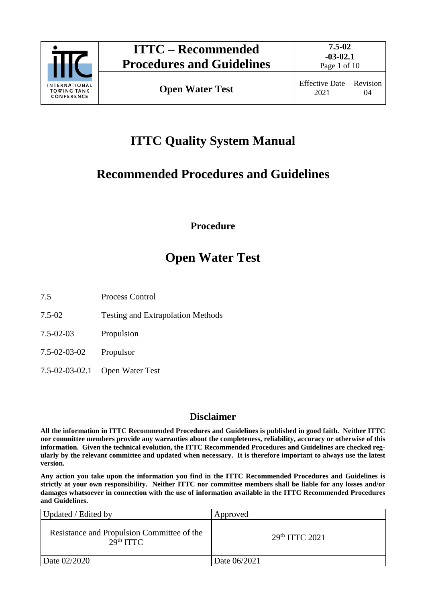

# **ITTC Quality System Manual**

## **Recommended Procedures and Guidelines**

**Procedure**

# **Open Water Test**

7.5 Process Control

- 7.5-02 Testing and Extrapolation Methods
- 7.5-02-03 Propulsion
- 7.5-02-03-02 Propulsor
- 7.5-02-03-02.1 Open Water Test

## **Disclaimer**

**All the information in ITTC Recommended Procedures and Guidelines is published in good faith. Neither ITTC nor committee members provide any warranties about the completeness, reliability, accuracy or otherwise of this information. Given the technical evolution, the ITTC Recommended Procedures and Guidelines are checked regularly by the relevant committee and updated when necessary. It is therefore important to always use the latest version.**

**Any action you take upon the information you find in the ITTC Recommended Procedures and Guidelines is strictly at your own responsibility. Neither ITTC nor committee members shall be liable for any losses and/or damages whatsoever in connection with the use of information available in the ITTC Recommended Procedures and Guidelines.**

| Updated / Edited by                                                 | Approved                   |
|---------------------------------------------------------------------|----------------------------|
| Resistance and Propulsion Committee of the<br>29 <sup>th</sup> TTTC | 29 <sup>th</sup> TTTC 2021 |
| Date 02/2020                                                        | Date 06/2021               |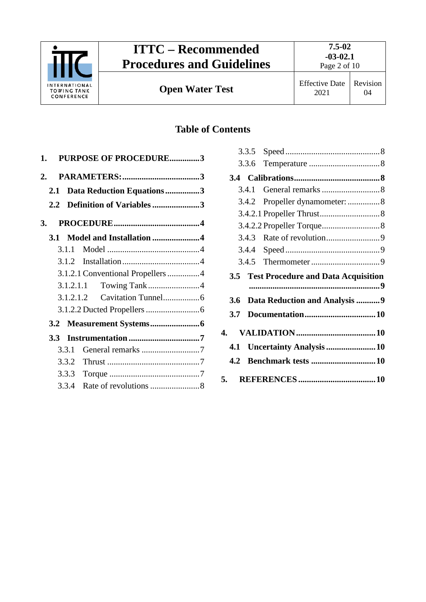

# **ITTC – Recommended Procedures and Guidelines**

## **Table of Contents**

| 1.           |           | <b>PURPOSE OF PROCEDURE3</b>      |
|--------------|-----------|-----------------------------------|
| $\mathbf{2}$ |           |                                   |
| 2.1          |           | Data Reduction Equations3         |
| 2.2          |           | Definition of Variables 3         |
| 3.           |           |                                   |
| <b>3.1</b>   |           | Model and Installation 4          |
|              | 3.1.1     |                                   |
|              | 3.1.2     |                                   |
|              |           | 3.1.2.1 Conventional Propellers 4 |
|              |           |                                   |
|              | 3.1.2.1.2 |                                   |
|              |           |                                   |
|              |           |                                   |
| $3.3 -$      |           |                                   |
|              | 3.3.1     |                                   |
|              | 3.3.2     |                                   |
|              | 3.3.3     |                                   |
|              | 3.3.4     |                                   |

|     | 3.3.6 |                                                |  |
|-----|-------|------------------------------------------------|--|
|     |       |                                                |  |
|     | 3.4.1 |                                                |  |
|     | 3.4.2 | Propeller dynamometer:  8                      |  |
|     |       |                                                |  |
|     |       |                                                |  |
|     | 3.4.3 |                                                |  |
|     | 3.4.4 |                                                |  |
|     |       |                                                |  |
|     |       | <b>3.5 Test Procedure and Data Acquisition</b> |  |
|     |       |                                                |  |
| 3.6 |       | Data Reduction and Analysis 9                  |  |
| 3.7 |       |                                                |  |
| 4.  |       |                                                |  |
| 4.1 |       |                                                |  |
|     |       | Uncertainty Analysis 10                        |  |
| 4.2 |       |                                                |  |
|     |       |                                                |  |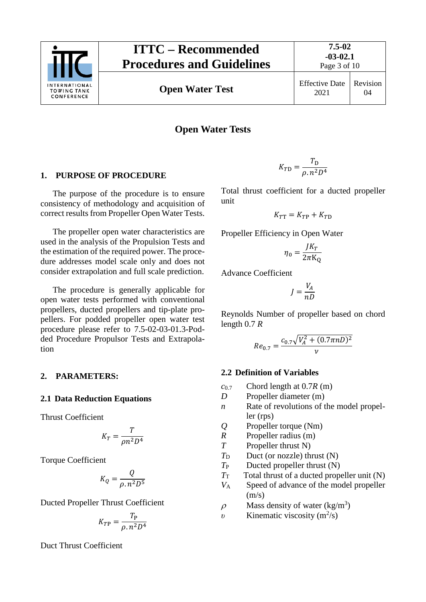

**Open Water Test** Effective Date

### **Open Water Tests**

#### <span id="page-2-0"></span>**1. PURPOSE OF PROCEDURE**

The purpose of the procedure is to ensure consistency of methodology and acquisition of correct results from Propeller Open Water Tests.

The propeller open water characteristics are used in the analysis of the Propulsion Tests and the estimation of the required power. The procedure addresses model scale only and does not consider extrapolation and full scale prediction.

The procedure is generally applicable for open water tests performed with conventional propellers, ducted propellers and tip-plate propellers. For podded propeller open water test procedure please refer to 7.5-02-03-01.3-Podded Procedure Propulsor Tests and Extrapolation

#### <span id="page-2-2"></span><span id="page-2-1"></span>**2. PARAMETERS:**

#### **2.1 Data Reduction Equations**

Thrust Coefficient

$$
K_T = \frac{T}{\rho n^2 D^4}
$$

Torque Coefficient

$$
K_Q = \frac{Q}{\rho \cdot n^2 D^5}
$$

Ducted Propeller Thrust Coefficient

$$
K_{TP} = \frac{T_P}{\rho \cdot n^2 D^4}
$$

Duct Thrust Coefficient

$$
K_{T\text{D}} = \frac{T_{\text{D}}}{\rho \cdot n^2 D^4}
$$

Total thrust coefficient for a ducted propeller unit

$$
K_{T\mathrm{T}} = K_{T\mathrm{P}} + K_{T\mathrm{D}}
$$

Propeller Efficiency in Open Water

$$
\eta_0 = \frac{JK_T}{2\pi K_Q}
$$

Advance Coefficient

$$
J = \frac{V_A}{nD}
$$

Reynolds Number of propeller based on chord length 0.7 *R*

$$
Re_{0.7} = \frac{c_{0.7}\sqrt{V_A^2 + (0.7\pi n D)^2}}{\nu}
$$

#### <span id="page-2-3"></span>**2.2 Definition of Variables**

- *c*0.7 Chord length at 0.7*R* (m)
- *D* Propeller diameter (m)
- *n* Rate of revolutions of the model propeller (rps)
- *Q* Propeller torque (Nm)
- *R* Propeller radius (m)
- *T* Propeller thrust N)
- $T_D$  Duct (or nozzle) thrust  $(N)$
- *T*<sub>P</sub> Ducted propeller thrust (N)
- $T_{\text{T}}$  Total thrust of a ducted propeller unit (N)
- *V*<sup>A</sup> Speed of advance of the model propeller  $(m/s)$
- $\rho$  Mass density of water (kg/m<sup>3</sup>)
- *v* Kinematic viscosity  $(m^2/s)$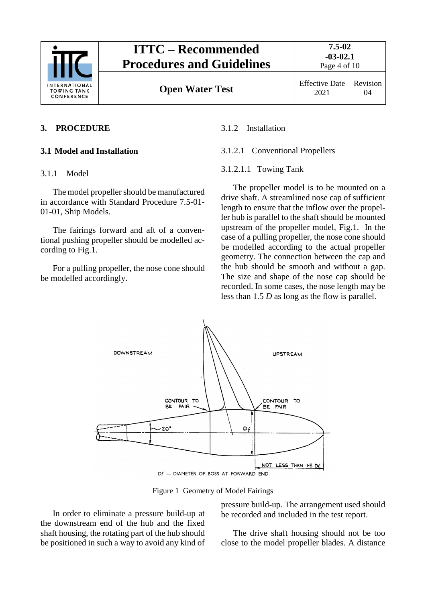

## **ITTC – Recommended Procedures and Guidelines**

**7.5-02 -03-02.1**

Page 4 of 10

04

## <span id="page-3-1"></span><span id="page-3-0"></span>**3. PROCEDURE**

## <span id="page-3-2"></span>**3.1 Model and Installation**

## 3.1.1 Model

The model propeller should be manufactured in accordance with Standard Procedure 7.5-01- 01-01, Ship Models.

The fairings forward and aft of a conventional pushing propeller should be modelled according to Fig.1.

For a pulling propeller, the nose cone should be modelled accordingly.

### <span id="page-3-4"></span><span id="page-3-3"></span>3.1.2 Installation

### 3.1.2.1 Conventional Propellers

### <span id="page-3-5"></span>3.1.2.1.1 Towing Tank

The propeller model is to be mounted on a drive shaft. A streamlined nose cap of sufficient length to ensure that the inflow over the propeller hub is parallel to the shaft should be mounted upstream of the propeller model, Fig.1. In the case of a pulling propeller, the nose cone should be modelled according to the actual propeller geometry. The connection between the cap and the hub should be smooth and without a gap. The size and shape of the nose cap should be recorded. In some cases, the nose length may be less than 1.5 *D* as long as the flow is parallel.



Figure 1 Geometry of Model Fairings

In order to eliminate a pressure build-up at the downstream end of the hub and the fixed shaft housing, the rotating part of the hub should be positioned in such a way to avoid any kind of pressure build-up. The arrangement used should be recorded and included in the test report.

The drive shaft housing should not be too close to the model propeller blades. A distance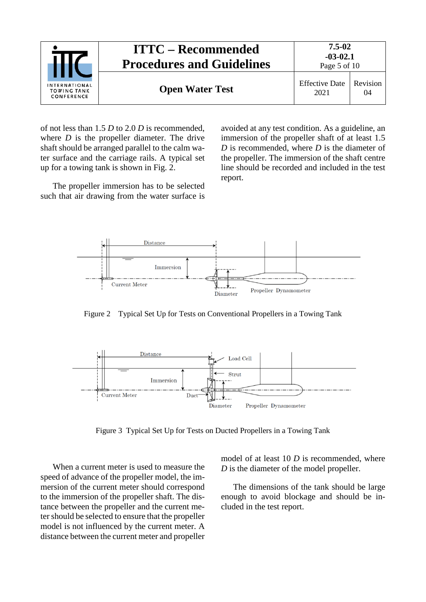| INTERNATIONAL<br><b>TOWING TANK</b><br>CONFERENCE | <b>ITTC – Recommended</b><br><b>Procedures and Guidelines</b> | $7.5 - 02$<br>$-03-02.1$<br>Page 5 of 10 |                |
|---------------------------------------------------|---------------------------------------------------------------|------------------------------------------|----------------|
|                                                   | <b>Open Water Test</b>                                        | <b>Effective Date</b><br>2021            | Revision<br>04 |

of not less than 1.5 *D* to 2.0 *D* is recommended, where *D* is the propeller diameter. The drive shaft should be arranged parallel to the calm water surface and the carriage rails. A typical set up for a towing tank is shown in Fig. 2.

The propeller immersion has to be selected such that air drawing from the water surface is

avoided at any test condition. As a guideline, an immersion of the propeller shaft of at least 1.5 *D* is recommended, where *D* is the diameter of the propeller. The immersion of the shaft centre line should be recorded and included in the test report.



Figure 2 Typical Set Up for Tests on Conventional Propellers in a Towing Tank



Figure 3 Typical Set Up for Tests on Ducted Propellers in a Towing Tank

When a current meter is used to measure the speed of advance of the propeller model, the immersion of the current meter should correspond to the immersion of the propeller shaft. The distance between the propeller and the current meter should be selected to ensure that the propeller model is not influenced by the current meter. A distance between the current meter and propeller

model of at least 10 *D* is recommended, where *D* is the diameter of the model propeller.

The dimensions of the tank should be large enough to avoid blockage and should be included in the test report.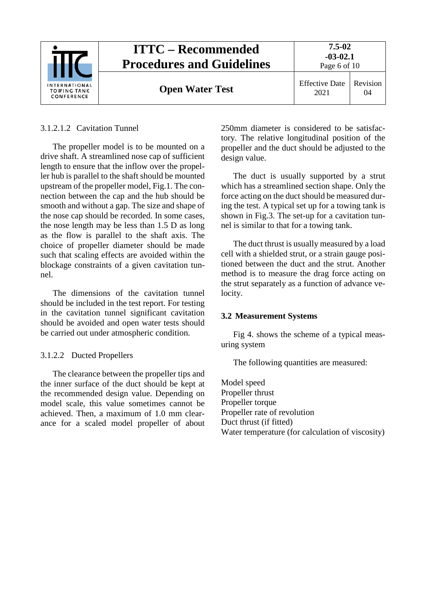

#### <span id="page-5-0"></span>3.1.2.1.2 Cavitation Tunnel

The propeller model is to be mounted on a drive shaft. A streamlined nose cap of sufficient length to ensure that the inflow over the propeller hub is parallel to the shaft should be mounted upstream of the propeller model, Fig.1. The connection between the cap and the hub should be smooth and without a gap. The size and shape of the nose cap should be recorded. In some cases, the nose length may be less than 1.5 D as long as the flow is parallel to the shaft axis. The choice of propeller diameter should be made such that scaling effects are avoided within the blockage constraints of a given cavitation tunnel.

The dimensions of the cavitation tunnel should be included in the test report. For testing in the cavitation tunnel significant cavitation should be avoided and open water tests should be carried out under atmospheric condition.

#### <span id="page-5-1"></span>3.1.2.2 Ducted Propellers

The clearance between the propeller tips and the inner surface of the duct should be kept at the recommended design value. Depending on model scale, this value sometimes cannot be achieved. Then, a maximum of 1.0 mm clearance for a scaled model propeller of about

250mm diameter is considered to be satisfactory. The relative longitudinal position of the propeller and the duct should be adjusted to the design value.

The duct is usually supported by a strut which has a streamlined section shape. Only the force acting on the duct should be measured during the test. A typical set up for a towing tank is shown in Fig.3. The set-up for a cavitation tunnel is similar to that for a towing tank.

The duct thrust is usually measured by a load cell with a shielded strut, or a strain gauge positioned between the duct and the strut. Another method is to measure the drag force acting on the strut separately as a function of advance velocity.

#### <span id="page-5-2"></span>**3.2 Measurement Systems**

Fig 4. shows the scheme of a typical measuring system

The following quantities are measured:

Model speed Propeller thrust Propeller torque Propeller rate of revolution Duct thrust (if fitted) Water temperature (for calculation of viscosity)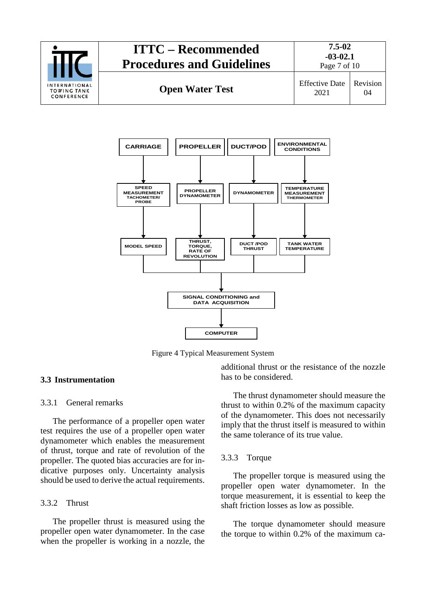



Figure 4 Typical Measurement System

#### <span id="page-6-1"></span><span id="page-6-0"></span>**3.3 Instrumentation**

#### 3.3.1 General remarks

The performance of a propeller open water test requires the use of a propeller open water dynamometer which enables the measurement of thrust, torque and rate of revolution of the propeller. The quoted bias accuracies are for indicative purposes only. Uncertainty analysis should be used to derive the actual requirements.

#### <span id="page-6-2"></span>3.3.2 Thrust

The propeller thrust is measured using the propeller open water dynamometer. In the case when the propeller is working in a nozzle, the

additional thrust or the resistance of the nozzle has to be considered.

The thrust dynamometer should measure the thrust to within 0.2% of the maximum capacity of the dynamometer. This does not necessarily imply that the thrust itself is measured to within the same tolerance of its true value.

#### <span id="page-6-3"></span>3.3.3 Torque

The propeller torque is measured using the propeller open water dynamometer. In the torque measurement, it is essential to keep the shaft friction losses as low as possible.

The torque dynamometer should measure the torque to within 0.2% of the maximum ca-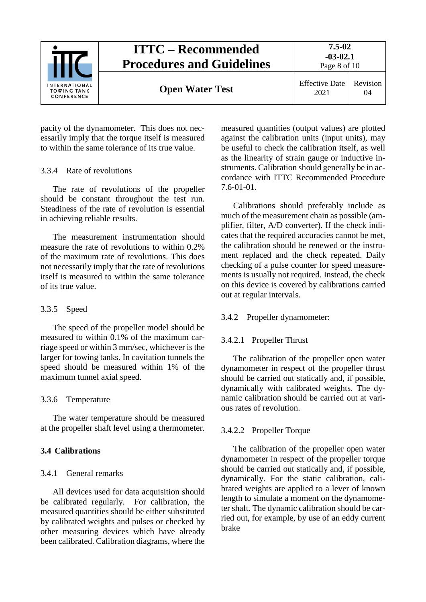

pacity of the dynamometer. This does not necessarily imply that the torque itself is measured to within the same tolerance of its true value.

#### <span id="page-7-0"></span>3.3.4 Rate of revolutions

The rate of revolutions of the propeller should be constant throughout the test run. Steadiness of the rate of revolution is essential in achieving reliable results.

The measurement instrumentation should measure the rate of revolutions to within 0.2% of the maximum rate of revolutions. This does not necessarily imply that the rate of revolutions itself is measured to within the same tolerance of its true value.

#### <span id="page-7-1"></span>3.3.5 Speed

The speed of the propeller model should be measured to within 0.1% of the maximum carriage speed or within 3 mm/sec, whichever is the larger for towing tanks. In cavitation tunnels the speed should be measured within 1% of the maximum tunnel axial speed.

#### <span id="page-7-2"></span>3.3.6 Temperature

The water temperature should be measured at the propeller shaft level using a thermometer.

#### <span id="page-7-4"></span><span id="page-7-3"></span>**3.4 Calibrations**

#### 3.4.1 General remarks

All devices used for data acquisition should be calibrated regularly. For calibration, the measured quantities should be either substituted by calibrated weights and pulses or checked by other measuring devices which have already been calibrated. Calibration diagrams, where the

measured quantities (output values) are plotted against the calibration units (input units), may be useful to check the calibration itself, as well as the linearity of strain gauge or inductive instruments. Calibration should generally be in accordance with ITTC Recommended Procedure 7.6-01-01.

Calibrations should preferably include as much of the measurement chain as possible (amplifier, filter, A/D converter). If the check indicates that the required accuracies cannot be met, the calibration should be renewed or the instrument replaced and the check repeated. Daily checking of a pulse counter for speed measurements is usually not required. Instead, the check on this device is covered by calibrations carried out at regular intervals.

#### <span id="page-7-6"></span><span id="page-7-5"></span>3.4.2 Propeller dynamometer:

#### 3.4.2.1 Propeller Thrust

The calibration of the propeller open water dynamometer in respect of the propeller thrust should be carried out statically and, if possible, dynamically with calibrated weights. The dynamic calibration should be carried out at various rates of revolution.

#### <span id="page-7-7"></span>3.4.2.2 Propeller Torque

The calibration of the propeller open water dynamometer in respect of the propeller torque should be carried out statically and, if possible, dynamically. For the static calibration, calibrated weights are applied to a lever of known length to simulate a moment on the dynamometer shaft. The dynamic calibration should be carried out, for example, by use of an eddy current brake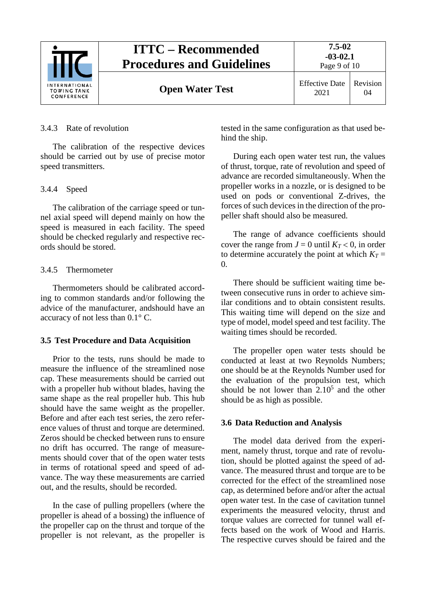

#### <span id="page-8-0"></span>3.4.3 Rate of revolution

The calibration of the respective devices should be carried out by use of precise motor speed transmitters.

#### <span id="page-8-1"></span>3.4.4 Speed

The calibration of the carriage speed or tunnel axial speed will depend mainly on how the speed is measured in each facility. The speed should be checked regularly and respective records should be stored.

#### <span id="page-8-2"></span>3.4.5 Thermometer

Thermometers should be calibrated according to common standards and/or following the advice of the manufacturer, andshould have an accuracy of not less than 0.1° C.

#### <span id="page-8-3"></span>**3.5 Test Procedure and Data Acquisition**

Prior to the tests, runs should be made to measure the influence of the streamlined nose cap. These measurements should be carried out with a propeller hub without blades, having the same shape as the real propeller hub. This hub should have the same weight as the propeller. Before and after each test series, the zero reference values of thrust and torque are determined. Zeros should be checked between runs to ensure no drift has occurred. The range of measurements should cover that of the open water tests in terms of rotational speed and speed of advance. The way these measurements are carried out, and the results, should be recorded.

In the case of pulling propellers (where the propeller is ahead of a bossing) the influence of the propeller cap on the thrust and torque of the propeller is not relevant, as the propeller is

tested in the same configuration as that used behind the ship.

During each open water test run, the values of thrust, torque, rate of revolution and speed of advance are recorded simultaneously. When the propeller works in a nozzle, or is designed to be used on pods or conventional Z-drives, the forces of such devices in the direction of the propeller shaft should also be measured.

The range of advance coefficients should cover the range from  $J = 0$  until  $K_T < 0$ , in order to determine accurately the point at which  $K_T =$ 0.

There should be sufficient waiting time between consecutive runs in order to achieve similar conditions and to obtain consistent results. This waiting time will depend on the size and type of model, model speed and test facility. The waiting times should be recorded.

The propeller open water tests should be conducted at least at two Reynolds Numbers; one should be at the Reynolds Number used for the evaluation of the propulsion test, which should be not lower than  $2.10<sup>5</sup>$  and the other should be as high as possible.

#### <span id="page-8-4"></span>**3.6 Data Reduction and Analysis**

The model data derived from the experiment, namely thrust, torque and rate of revolution, should be plotted against the speed of advance. The measured thrust and torque are to be corrected for the effect of the streamlined nose cap, as determined before and/or after the actual open water test. In the case of cavitation tunnel experiments the measured velocity, thrust and torque values are corrected for tunnel wall effects based on the work of Wood and Harris. The respective curves should be faired and the